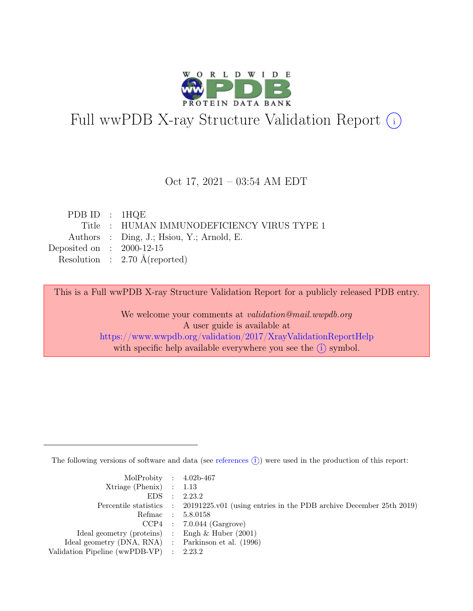

# Full wwPDB X-ray Structure Validation Report  $(i)$

#### Oct 17, 2021 – 03:54 AM EDT

| PDB ID : $1HQE$             |                                            |
|-----------------------------|--------------------------------------------|
|                             | Title: HUMAN IMMUNODEFICIENCY VIRUS TYPE 1 |
|                             | Authors : Ding, J.; Hsiou, Y.; Arnold, E.  |
| Deposited on : $2000-12-15$ |                                            |
|                             | Resolution : $2.70 \text{ Å}$ (reported)   |

This is a Full wwPDB X-ray Structure Validation Report for a publicly released PDB entry.

We welcome your comments at validation@mail.wwpdb.org A user guide is available at <https://www.wwpdb.org/validation/2017/XrayValidationReportHelp> with specific help available everywhere you see the  $(i)$  symbol.

The following versions of software and data (see [references](https://www.wwpdb.org/validation/2017/XrayValidationReportHelp#references)  $(i)$ ) were used in the production of this report:

| MolProbity : $4.02b-467$                            |                                                                                            |
|-----------------------------------------------------|--------------------------------------------------------------------------------------------|
| $Xtriangle (Phenix)$ : 1.13                         |                                                                                            |
|                                                     | EDS : 2.23.2                                                                               |
|                                                     | Percentile statistics : 20191225.v01 (using entries in the PDB archive December 25th 2019) |
|                                                     | Refmac : 5.8.0158                                                                          |
|                                                     | $CCP4$ : 7.0.044 (Gargrove)                                                                |
| Ideal geometry (proteins) : Engh $\&$ Huber (2001)  |                                                                                            |
| Ideal geometry (DNA, RNA) : Parkinson et al. (1996) |                                                                                            |
| Validation Pipeline (wwPDB-VP) : 2.23.2             |                                                                                            |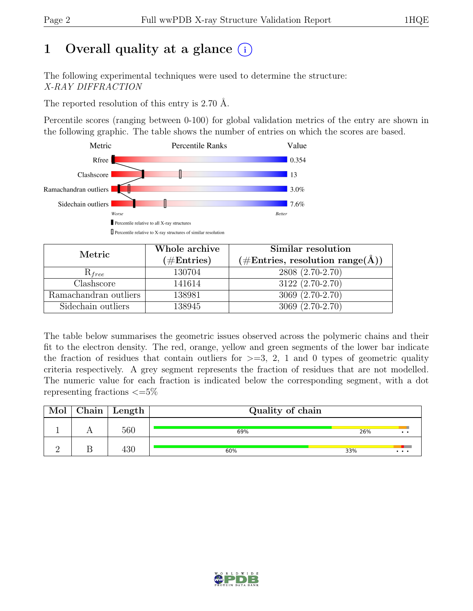# 1 Overall quality at a glance  $(i)$

The following experimental techniques were used to determine the structure: X-RAY DIFFRACTION

The reported resolution of this entry is 2.70 Å.

Percentile scores (ranging between 0-100) for global validation metrics of the entry are shown in the following graphic. The table shows the number of entries on which the scores are based.



| Metric                | Whole archive | Similar resolution                                  |  |  |
|-----------------------|---------------|-----------------------------------------------------|--|--|
|                       | $(\#Entries)$ | $(\# \text{Entries}, \text{resolution range}(\AA))$ |  |  |
| $R_{free}$            | 130704        | 2808 (2.70-2.70)                                    |  |  |
| Clashscore            | 141614        | 3122 (2.70-2.70)                                    |  |  |
| Ramachandran outliers | 138981        | 3069 (2.70-2.70)                                    |  |  |
| Sidechain outliers    | 138945        | 3069 (2.70-2.70)                                    |  |  |

The table below summarises the geometric issues observed across the polymeric chains and their fit to the electron density. The red, orange, yellow and green segments of the lower bar indicate the fraction of residues that contain outliers for  $>=$  3, 2, 1 and 0 types of geometric quality criteria respectively. A grey segment represents the fraction of residues that are not modelled. The numeric value for each fraction is indicated below the corresponding segment, with a dot representing fractions  $\leq=5\%$ 

| Mol | ${\bf Chain}$ | Length | Quality of chain |                        |  |  |
|-----|---------------|--------|------------------|------------------------|--|--|
|     |               | 560    | 69%              | 26%<br>$\cdot$ $\cdot$ |  |  |
|     |               | 430    | 60%              | 33%<br>$\cdots$        |  |  |

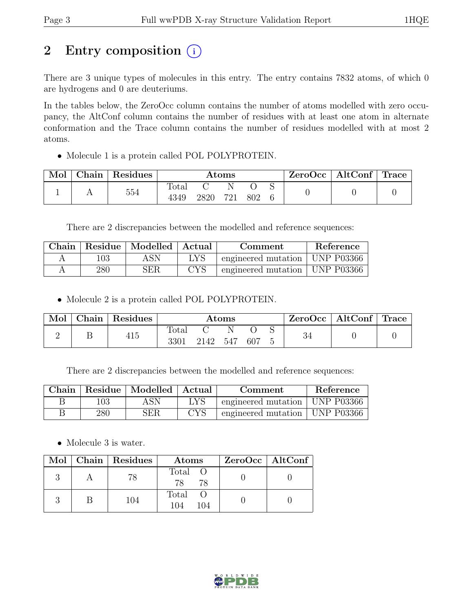# 2 Entry composition  $(i)$

There are 3 unique types of molecules in this entry. The entry contains 7832 atoms, of which 0 are hydrogens and 0 are deuteriums.

In the tables below, the ZeroOcc column contains the number of atoms modelled with zero occupancy, the AltConf column contains the number of residues with at least one atom in alternate conformation and the Trace column contains the number of residues modelled with at most 2 atoms.

• Molecule 1 is a protein called POL POLYPROTEIN.

| Mol | Chain | Residues | Atoms |     |     |  |  | ZeroOcc | $\vert$ AltConf $\vert$ Trace |  |
|-----|-------|----------|-------|-----|-----|--|--|---------|-------------------------------|--|
|     |       | 554      | Total |     |     |  |  |         |                               |  |
|     |       | 4349     | 2820  | 721 | 802 |  |  |         |                               |  |

There are 2 discrepancies between the modelled and reference sequences:

| $\,$ Chain $\,$ |     | Residue   Modelled   Actual |     | Comment                          | Reference |
|-----------------|-----|-----------------------------|-----|----------------------------------|-----------|
|                 | 103 | ASN                         | LYS | engineered mutation   UNP P03366 |           |
|                 | 280 | ${\rm SER}$                 | CYS | engineered mutation   UNP P03366 |           |

• Molecule 2 is a protein called POL POLYPROTEIN.

| Mol | Chain | $\perp$ Residues | $\rm{Atoms}$  |      |     |      |  | $\text{ZeroOcc} \mid \text{AltConf} \mid \text{Trace}$ |  |
|-----|-------|------------------|---------------|------|-----|------|--|--------------------------------------------------------|--|
|     |       | 415              | Total<br>3301 | 2142 | 547 | -607 |  | ಀ±                                                     |  |

There are 2 discrepancies between the modelled and reference sequences:

|     | Chain   Residue   Modelled   Actual | Comment |                                  | Reference |
|-----|-------------------------------------|---------|----------------------------------|-----------|
| 103 | ASN                                 | LYS     | engineered mutation   UNP P03366 |           |
| 280 | <b>SER</b>                          | CYS     | engineered mutation   UNP P03366 |           |

• Molecule 3 is water.

|  | Mol   Chain   Residues | Atoms               | $ZeroOcc \   \$ AltConf |
|--|------------------------|---------------------|-------------------------|
|  | 78                     | Total O<br>78<br>78 |                         |
|  | 104                    | Total<br>104<br>104 |                         |

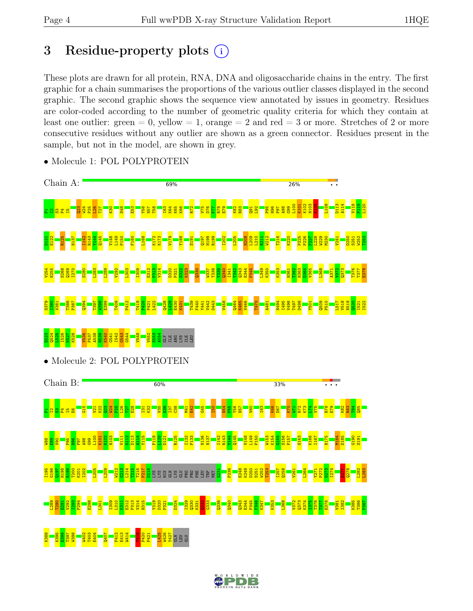# 3 Residue-property plots  $(i)$

These plots are drawn for all protein, RNA, DNA and oligosaccharide chains in the entry. The first graphic for a chain summarises the proportions of the various outlier classes displayed in the second graphic. The second graphic shows the sequence view annotated by issues in geometry. Residues are color-coded according to the number of geometric quality criteria for which they contain at least one outlier: green  $= 0$ , yellow  $= 1$ , orange  $= 2$  and red  $= 3$  or more. Stretches of 2 or more consecutive residues without any outlier are shown as a green connector. Residues present in the sample, but not in the model, are shown in grey.



• Molecule 1: POL POLYPROTEIN

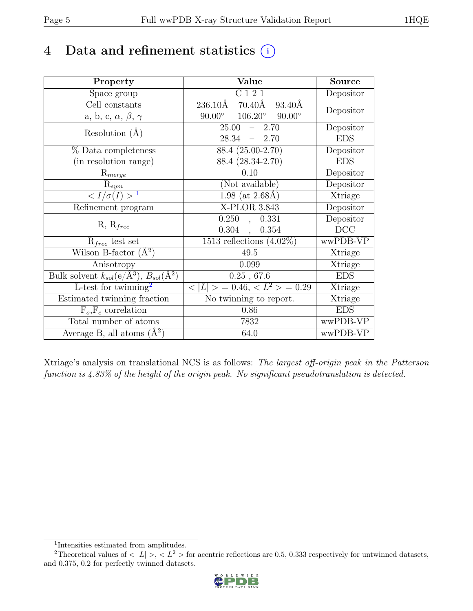# 4 Data and refinement statistics  $(i)$

| Property                                                             | Value                                                        | <b>Source</b>  |
|----------------------------------------------------------------------|--------------------------------------------------------------|----------------|
| Space group                                                          | C121                                                         | Depositor      |
| Cell constants                                                       | $236.10\text{\AA}$<br>$70.40\text{\AA}$<br>$93.40\text{\AA}$ | Depositor      |
| a, b, c, $\alpha$ , $\beta$ , $\gamma$                               | $90.00^\circ$<br>$106.20^\circ$<br>$90.00^\circ$             |                |
| Resolution $(A)$                                                     | 25.00<br>2.70<br>$\frac{1}{2}$                               | Depositor      |
|                                                                      | 28.34<br>$-2.70$                                             | <b>EDS</b>     |
| % Data completeness                                                  | 88.4 (25.00-2.70)                                            | Depositor      |
| (in resolution range)                                                | 88.4 (28.34-2.70)                                            | <b>EDS</b>     |
| $R_{merge}$                                                          | 0.10                                                         | Depositor      |
| $\mathrm{R}_{sym}$                                                   | (Not available)                                              | Depositor      |
| $\langle I/\sigma(I) \rangle^{-1}$                                   | $1.98$ (at 2.68Å)                                            | Xtriage        |
| Refinement program                                                   | X-PLOR 3.843                                                 | Depositor      |
|                                                                      | 0.250<br>0.331<br>$\mathbf{A}$                               | Depositor      |
| $R, R_{free}$                                                        | $0.304$ ,<br>0.354                                           | DCC            |
| $R_{free}$ test set                                                  | 1513 reflections $(4.02\%)$                                  | wwPDB-VP       |
| Wilson B-factor $(A^2)$                                              | 49.5                                                         | Xtriage        |
| Anisotropy                                                           | 0.099                                                        | Xtriage        |
| Bulk solvent $k_{sol}(e/\mathring{A}^3)$ , $B_{sol}(\mathring{A}^2)$ | 0.25, 67.6                                                   | <b>EDS</b>     |
| L-test for twinning <sup>2</sup>                                     | $< L >$ = 0.46, $< L^2 >$ = 0.29                             | <b>Xtriage</b> |
| Estimated twinning fraction                                          | No twinning to report.                                       | Xtriage        |
| $F_o, F_c$ correlation                                               | 0.86                                                         | <b>EDS</b>     |
| Total number of atoms                                                | 7832                                                         | wwPDB-VP       |
| Average B, all atoms $(A^2)$                                         | 64.0                                                         | wwPDB-VP       |

Xtriage's analysis on translational NCS is as follows: The largest off-origin peak in the Patterson function is 4.83% of the height of the origin peak. No significant pseudotranslation is detected.

<sup>&</sup>lt;sup>2</sup>Theoretical values of  $\langle |L| \rangle$ ,  $\langle L^2 \rangle$  for acentric reflections are 0.5, 0.333 respectively for untwinned datasets, and 0.375, 0.2 for perfectly twinned datasets.



<span id="page-4-1"></span><span id="page-4-0"></span><sup>1</sup> Intensities estimated from amplitudes.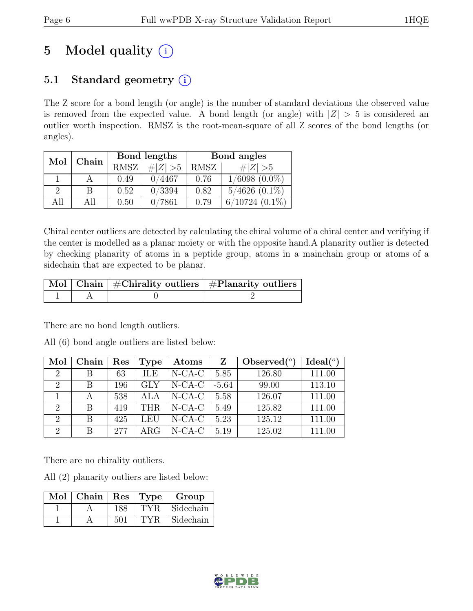# 5 Model quality  $(i)$

# 5.1 Standard geometry  $(i)$

The Z score for a bond length (or angle) is the number of standard deviations the observed value is removed from the expected value. A bond length (or angle) with  $|Z| > 5$  is considered an outlier worth inspection. RMSZ is the root-mean-square of all Z scores of the bond lengths (or angles).

| Mol | Chain |      | Bond lengths | Bond angles |                     |  |
|-----|-------|------|--------------|-------------|---------------------|--|
|     |       | RMSZ | # $ Z  > 5$  | RMSZ        | # $ Z  > 5$         |  |
|     |       | 0.49 | 0/4467       | 0.76        | $1/6098$ $(0.0\%)$  |  |
| 9   | В     | 0.52 | 0/3394       | 0.82        | $5/4626$ $(0.1\%)$  |  |
| All | AĦ    | 0.50 | 0/7861       | 0.79        | $6/10724$ $(0.1\%)$ |  |

Chiral center outliers are detected by calculating the chiral volume of a chiral center and verifying if the center is modelled as a planar moiety or with the opposite hand.A planarity outlier is detected by checking planarity of atoms in a peptide group, atoms in a mainchain group or atoms of a sidechain that are expected to be planar.

|  | Mol   Chain   #Chirality outliers   #Planarity outliers |
|--|---------------------------------------------------------|
|  |                                                         |

There are no bond length outliers.

All (6) bond angle outliers are listed below:

| Mol                         | Chain | Res | <b>Type</b> | Atoms     | Z       | Observed $(°)$ | Ideal <sup>(o)</sup> |
|-----------------------------|-------|-----|-------------|-----------|---------|----------------|----------------------|
| $\mathcal{D}_{\mathcal{L}}$ | В     | 63  | ILE         | $N-CA-C$  | 5.85    | 126.80         | 111.00               |
| $\mathcal{D}_{\mathcal{L}}$ | В     | 196 | <b>GLY</b>  | $N-CA-C$  | $-5.64$ | 99.00          | 113.10               |
|                             |       | 538 |             | $N-CA-C$  | 5.58    | 126.07         | 111.00               |
| $\mathcal{D}_{\mathcal{L}}$ | R     | 419 | THR.        | $N-CA-C$  | 5.49    | 125.82         | 111.00               |
| $\mathcal{D}_{\mathcal{L}}$ | B     | 425 | LEU         | $N$ -CA-C | 5.23    | 125.12         | 111.00               |
| $\mathcal{D}_{\mathcal{L}}$ | R     | 277 | $\rm{ARG}$  | $N-CA-C$  | 5.19    | 125.02         | 111.00               |

There are no chirality outliers.

All (2) planarity outliers are listed below:

| Mol | Chain |     | $ $ Res $ $ Type | Group     |
|-----|-------|-----|------------------|-----------|
|     |       |     | TYR.             | Sidechain |
|     |       | 501 |                  | Sidechain |

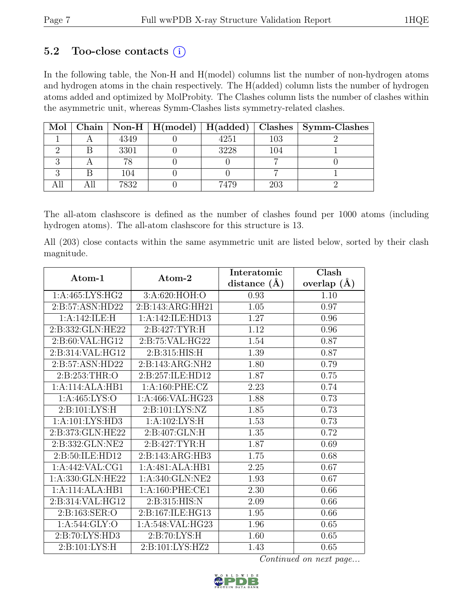# 5.2 Too-close contacts  $(i)$

In the following table, the Non-H and H(model) columns list the number of non-hydrogen atoms and hydrogen atoms in the chain respectively. The H(added) column lists the number of hydrogen atoms added and optimized by MolProbity. The Clashes column lists the number of clashes within the asymmetric unit, whereas Symm-Clashes lists symmetry-related clashes.

| Mol |      |      |     | Chain   Non-H   $H(model)$   $H(added)$   Clashes   Symm-Clashes |
|-----|------|------|-----|------------------------------------------------------------------|
|     | 4349 | 4251 | 103 |                                                                  |
|     | 3301 | 3228 | 104 |                                                                  |
|     |      |      |     |                                                                  |
|     | 104  |      |     |                                                                  |
|     | 7832 | 7479 | 203 |                                                                  |

The all-atom clashscore is defined as the number of clashes found per 1000 atoms (including hydrogen atoms). The all-atom clashscore for this structure is 13.

All (203) close contacts within the same asymmetric unit are listed below, sorted by their clash magnitude.

| Atom-1             | $\boldsymbol{\mathrm{Atom}\text{-}2}$ | Interatomic      | Clash           |
|--------------------|---------------------------------------|------------------|-----------------|
|                    |                                       | distance $(\AA)$ | overlap $(\AA)$ |
| 1:A:465:LYS:HG2    | 3:A:620:HOH:O                         | 0.93             | 1.10            |
| 2:B:57:ASN:HD22    | 2:B:143:ARG:HH21                      | 1.05             | 0.97            |
| 1:A:142:ILE:H      | 1:A:142:ILE:HD13                      | 1.27             | 0.96            |
| 2:B:332:GLN:HE22   | 2:B:427:TYR:H                         | 1.12             | 0.96            |
| 2:B:60:VAL:HG12    | 2:B:75:VAL:HG22                       | 1.54             | 0.87            |
| 2: B:314: VAL:HG12 | 2:B:315:HIS:H                         | 1.39             | 0.87            |
| 2:B:57:ASN:HD22    | 2:B:143:ARG:NH2                       | 1.80             | 0.79            |
| 2:B:253:THR:O      | 2:B:257:ILE:HD12                      | 1.87             | 0.75            |
| 1:A:114:ALA:HB1    | 1:A:160:PHE:CZ                        | 2.23             | 0.74            |
| 1: A: 465: LYS: O  | 1:A:466:VAL:HG23                      | 1.88             | 0.73            |
| 2:B:101:LYS:H      | 2:B:101:LYS:NZ                        | 1.85             | 0.73            |
| 1:A:101:LYS:HD3    | 1:A:102:LYS:H                         | 1.53             | 0.73            |
| 2:B:373:GLN:HE22   | 2:B:407:GLN:H                         | 1.35             | 0.72            |
| 2:B:332:GLN:NE2    | 2:B:427:TYR:H                         | 1.87             | 0.69            |
| 2:B:50:ILE:HD12    | 2: B: 143: ARG: HB3                   | 1.75             | 0.68            |
| 1:A:442:VAL:CG1    | 1:A:481:ALA:HB1                       | 2.25             | 0.67            |
| 1:A:330:GLN:HE22   | 1:A:340:GLN:NE2                       | 1.93             | 0.67            |
| 1:A:114:ALA:HB1    | 1:A:160:PHE:CE1                       | 2.30             | 0.66            |
| 2:B:314:VAL:HG12   | 2: B:315: HIS: N                      | 2.09             | 0.66            |
| 2:B:163:SER:O      | 2:B:167:ILE:HG13                      | 1.95             | 0.66            |
| 1:A:544:GLY:O      | 1:A:548:VAL:HG23                      | 1.96             | 0.65            |
| 2:B:70:LYS:HD3     | $2: B:70: LYS:\overline{H}$           | 1.60             | 0.65            |
| 2: B: 101: LYS: H  | 2:B:101:LYS:HZ2                       | 1.43             | 0.65            |

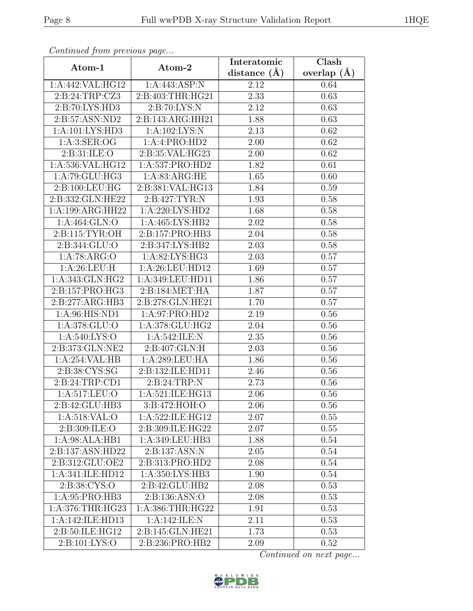| Continuea from previous page                  |                            | Interatomic    | Clash           |
|-----------------------------------------------|----------------------------|----------------|-----------------|
| Atom-1                                        | Atom-2                     | distance $(A)$ | overlap $(\AA)$ |
| 1:A:442:VAL:HG12                              | 1:A:443:ASP:N              | 2.12           | 0.64            |
| 2:B:24:TRP:CZ3                                | 2:B:403:THR:HG21           | 2.33           | 0.63            |
| 2:B:70:LYS:HD3                                | 2: B:70: LYS:N             | 2.12           | 0.63            |
| 2:B:57:ASN:ND2                                | 2:B:143:ARG:HH21           | 1.88           | 0.63            |
| 1:A:101:LYS:HD3                               | 1:A:102:LYS:N              | 2.13           | 0.62            |
| 1: A:3: SER:OG                                | 1:A:4:PRO:HD2              | 2.00           | 0.62            |
| 2:B:31:ILE:O                                  | 2:B:35:VAL:HG23            | 2.00           | 0.62            |
| 1:A:536:VAL:HG12                              | 1:A:537:PRO:HD2            | 1.82           | 0.61            |
| 1:A:79:GLU:HG3                                | 1: A:83: ARG:HE            | 1.65           | 0.60            |
| $2: B: 100: \overline{\text{LEU}: \text{HG}}$ | 2:B:381:VAL:HG13           | 1.84           | 0.59            |
| 2:B:332:GLN:HE22                              | $2:B:427:TYR:\overline{N}$ | 1.93           | 0.58            |
| 1:A:199:ARG:HH22                              | 1: A:220: LYS: HD2         | 1.68           | 0.58            |
| 1:A:464:GLN:O                                 | 1: A: 465: LYS: HB2        | 2.02           | 0.58            |
| 2: B: 115: TYR: OH                            | 2:B:157:PRO:HB3            | 2.04           | 0.58            |
| 2:B:344:GLU:O                                 | 2:B:347:LYS:HB2            | 2.03           | 0.58            |
| 1:A:78:ARG:O                                  | 1:A:82:LYS:HG3             | 2.03           | 0.57            |
| 1:A:26:LEU:H                                  | 1:A:26:LEU:HD12            | 1.69           | 0.57            |
| 1: A:343: GLN: HG2                            | 1:A:349:LEU:HD11           | 1.86           | 0.57            |
| 2:B:157:PRO:HG3                               | 2:Bi:184:MET:HA            | 1.87           | 0.57            |
| 2:B:277:ARG:HB3                               | 2:B:278:GLN:HE21           | 1.70           | 0.57            |
| 1:A:96:HIS:ND1                                | 1:A:97:PRO:HD2             | 2.19           | 0.56            |
| 1:A:378:GLU:O                                 | 1:A:378:GLU:HG2            | 2.04           | 0.56            |
| 1: A:540: LYS:O                               | 1:A:542:ILE:N              | 2.35           | 0.56            |
| 2:B:373:GLN:NE2                               | 2:B:407:GLN:H              | 2.03           | 0.56            |
| 1:A:254:VAL:HB                                | 1:A:289:LEU:HA             | 1.86           | 0.56            |
| 2:B:38:CYS:SG                                 | 2:B:132:ILE:HD11           | 2.46           | 0.56            |
| 2:B:24:TRP:CD1                                | 2:B:24:TRP:N               | 2.73           | 0.56            |
| 1:A:517:LEU:O                                 | 1:A:521:ILE:HG13           | $2.06\,$       | 0.56            |
| 2:B:42:GLU:HB3                                | 3:B:472:HOH:O              | 2.06           | 0.56            |
| 1:A:518:VAL:O                                 | 1:A:522:ILE:HG12           | 2.07           | 0.55            |
| 2:B:309:ILE:O                                 | 2:B:309:ILE:HG22           | 2.07           | 0.55            |
| 1:A:98:ALA:HB1                                | 1:A:349:LEU:HB3            | 1.88           | 0.54            |
| 2:B:137:ASN:HD22                              | 2: B: 137: ASN: N          | 2.05           | 0.54            |
| 2:B:312:GLU:OE2                               | 2:B:313:PRO:HD2            | 2.08           | 0.54            |
| 1:A:341:ILE:HD12                              | 1: A:350: LYS:HB3          | 1.90           | 0.54            |
| 2:B:38:CYS:O                                  | 2:B:42:GLU:HB2             | 2.08           | 0.53            |
| 1: A:95: PRO:HB3                              | 2: B: 136: ASN: O          | 2.08           | 0.53            |
| 1:A:376:THR:HG23                              | 1:A:386:THR:HG22           | 1.91           | 0.53            |
| 1:A:142:ILE:HD13                              | 1:A:142:ILE:N              | 2.11           | 0.53            |
| 2:B:50:ILE:HG12                               | 2:B:145:GLN:HE21           | 1.73           | 0.53            |
| 2:B:101:LYS:O                                 | 2:B:236:PRO:HB2            | 2.09           | 0.52            |

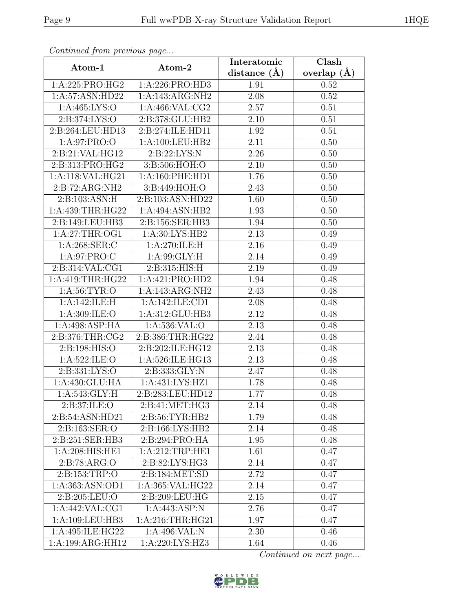| Continuea from previous page  |                             | Interatomic    | Clash           |
|-------------------------------|-----------------------------|----------------|-----------------|
| Atom-1                        | Atom-2                      | distance $(A)$ | overlap $(\AA)$ |
| $1:A:225:PRO: \overline{HG2}$ | 1:A:226:PRO:HD3             | 1.91           | 0.52            |
| 1:A:57:ASN:HD22               | 1:A:143:ARG:NH2             | 2.08           | 0.52            |
| 1: A: 465: LYS: O             | 1: A:466: VAL: CG2          | 2.57           | 0.51            |
| 2:B:374:LYS:O                 | 2:B:378:GLU:HB2             | 2.10           | 0.51            |
| 2:B:264:LEU:HD13              | 2:B:274:ILE:HD11            | 1.92           | 0.51            |
| 1:A:97:PRO:O                  | 1:A:100:LEU:HB2             | 2.11           | 0.50            |
| 2:B:21:VAL:HG12               | 2:B:22:LYS:N                | 2.26           | 0.50            |
| 2:B:313:PRO:HG2               | 3:B:506:HOH:O               | 2.10           | 0.50            |
| 1:A:118:VAL:HG21              | 1:A:160:PHE:HD1             | 1.76           | 0.50            |
| 2:B:72:ARG:NH2                | 3:B:449:HOH:O               | 2.43           | 0.50            |
| 2: B: 103: ASN: H             | 2:B:103:ASN:HD22            | 1.60           | 0.50            |
| 1:A:439:THR:HG22              | 1:A:494:ASN:HB2             | 1.93           | 0.50            |
| 2:B:149:LEU:HB3               | 2:B:156:SER:HB3             | 1.94           | 0.50            |
| 1:A:27:THR:OG1                | $1:A:\overline{30:LYS:HB2}$ | 2.13           | 0.49            |
| 1:A:268:SER:C                 | 1:A:270:ILE:H               | 2.16           | 0.49            |
| 1: A:97: PRO:C                | 1: A:99: GLY: H             | 2.14           | 0.49            |
| 2:B:314:VAL:CG1               | 2: B: 315: HIS: H           | 2.19           | 0.49            |
| 1:A:419:THR:HG22              | 1:A:421:PRO:HD2             | 1.94           | 0.48            |
| 1:A:56:TYR:O                  | 1:A:143:ARG:NH2             | 2.43           | 0.48            |
| 1:A:142:ILE:H                 | 1:A:142:ILE:CD1             | 2.08           | 0.48            |
| 1:A:309:ILE:O                 | 1:A:312:GLU:HB3             | 2.12           | 0.48            |
| 1:A:498:ASP:HA                | 1:A:536:VAL:O               | 2.13           | 0.48            |
| 2:B:376:THR:CG2               | 2:B:386:THR:HG22            | 2.44           | 0.48            |
| 2:B:198:HIS:O                 | 2:B:202:ILE:HG12            | 2.13           | 0.48            |
| 1:A:522:ILE:O                 | 1:A:526:ILE:HG13            | 2.13           | 0.48            |
| 2: B: 331: LYS: O             | 2:B:333:GLY:N               | 2.47           | 0.48            |
| 1:A:430:GLU:HA                | 1:A:431:LYS:HZ1             | 1.78           | 0.48            |
| 1: A:543: GLY: H              | 2:B:283:LEU:HD12            | 1.77           | 0.48            |
| 2:B:37:ILE:O                  | 2:B:41:MET:HG3              | 2.14           | 0.48            |
| 2:B:54:ASN:HD21               | 2:B:56:TYR:HB2              | 1.79           | 0.48            |
| 2:B:163:SER:O                 | 2:B:166:LYS:HB2             | 2.14           | 0.48            |
| 2:B:251:SER:HB3               | 2:B:294:PRO:HA              | 1.95           | 0.48            |
| 1:A:208:HIS:HE1               | 1:A:212:TRP:HE1             | 1.61           | 0.47            |
| 2:B:78:ARG:O                  | 2:B:82:LYS:HG3              | 2.14           | 0.47            |
| 2:B:153:TRP:O                 | 2: B: 184: MET: SD          | 2.72           | 0.47            |
| 1:A:363:ASN:OD1               | 1:A:365:VAL:HG22            | 2.14           | 0.47            |
| 2:B:205:LEU:O                 | 2:B:209:LEU:HG              | 2.15           | 0.47            |
| 1:A:442:VAL:CG1               | 1:A:443:ASP:N               | 2.76           | 0.47            |
| 1:A:109:LEU:HB3               | 1:A:216:THR:HG21            | 1.97           | 0.47            |
| 1:A:495:ILE:HG22              | 1:A:496:VAL:N               | 2.30           | 0.46            |
| $1:A:199:A\overline{RG:HH12}$ | 1:A:220:LYS:HZ3             | 1.64           | 0.46            |

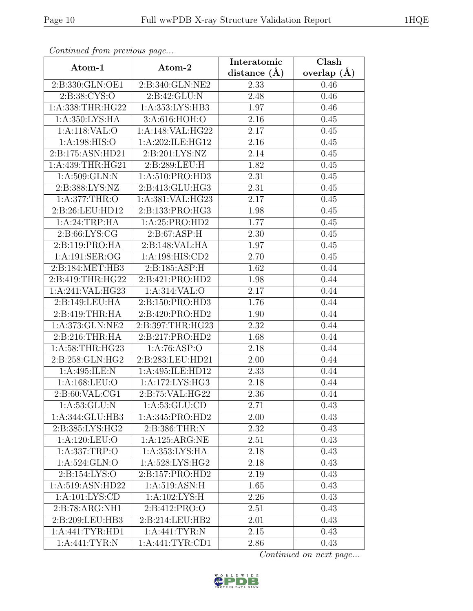| Continuea from previous page       |                              | Interatomic       | Clash         |
|------------------------------------|------------------------------|-------------------|---------------|
| Atom-1                             | Atom-2                       | distance $(A)$    | overlap $(A)$ |
| 2:B:330:GLN:OE1                    | 2:B:340:GLN:NE2              | 2.33              | 0.46          |
| 2:B:38:CYS:O                       | 2:B:42:GLU:N                 | 2.48              | 0.46          |
| 1:A:338:THR:HG22                   | 1:A:353:LYS:HB3              | 1.97              | 0.46          |
| 1:A:350:LYS:HA                     | 3:A:616:HOH:O                | 2.16              | 0.45          |
| 1:A:118:VAL:O                      | 1:A:148:VAL:HG22             | 2.17              | 0.45          |
| 1:A:198:HIS:O                      | 1:A:202:ILE:HG12             | 2.16              | 0.45          |
| 2:B:175:ASN:HD21                   | 2:B:201:LYS:NZ               | $\overline{2.14}$ | 0.45          |
| 1:A:439:THR:HG21                   | 2:B:289:LEU:H                | 1.82              | 0.45          |
| 1: A:509: GLN:N                    | 1: A:510: PRO:HD3            | 2.31              | 0.45          |
| 2:B:388:LYS:NZ                     | 2:B:413:GLU:HG3              | 2.31              | 0.45          |
| 1: A:377:THR:O                     | 1:A:381:VAL:HG23             | 2.17              | 0.45          |
| 2:B:26:LEU:HD12                    | 2:B:133:PRO:HG3              | 1.98              | 0.45          |
| 1:A:24:TRP:HA                      | 1:A:25:PRO:HD2               | 1.77              | 0.45          |
| 2: B:66: LYS: CG                   | 2: B:67: ASP:H               | 2.30              | 0.45          |
| 2:B:119:PRO:HA                     | 2:B:148:VAL:HA               | 1.97              | 0.45          |
| 1:A:191:SER:OG                     | 1:A:198:HIS:CD2              | 2.70              | 0.45          |
| 2:B:184:MET:HB3                    | 2:B:185:ASP:H                | 1.62              | 0.44          |
| 2:B:419:THR:HG22                   | 2:Bi421:PRO:HD2              | 1.98              | 0.44          |
| 1:A:241:VAL:HG23                   | $1: A:314:VAL:$ <sup>O</sup> | 2.17              | 0.44          |
| 2:B:149:LEU:HA                     | 2:B:150:PRO:HD3              | 1.76              | 0.44          |
| 2:B:419:THR:HA                     | 2:B:420:PRO:HD2              | 1.90              | 0.44          |
| 1:A:373:GLN:NE2                    | 2:B:397:THR:HG23             | 2.32              | 0.44          |
| 2:B:216:THR:HA                     | 2:B:217:PRO:HD2              | 1.68              | 0.44          |
| 1: A:58:THR:HG23                   | $1:A:76:\overline{ASP:O}$    | 2.18              | 0.44          |
| 2:B:258:GLN:HG2                    | 2:B:283:LEU:HD21             | 2.00              | 0.44          |
| 1:A:495:ILE:N                      | 1:A:495:ILE:HD12             | 2.33              | 0.44          |
| 1:A:168:LEU:O                      | 1:A:172:LYS:HG3              | 2.18              | 0.44          |
| 2: B:60: VAL:CG1                   | 2:B:75:VAL:HG22              | 2.36              | 0.44          |
| 1: A:53: GLU: N                    | 1: A:53: GLU:CD              | 2.71              | 0.43          |
| 1:A:344:GLU:HB3                    | 1:A:345:PRO:HD2              | 2.00              | 0.43          |
| 2:B:385:LYS:HG2                    | 2:B:386:THR:N                | 2.32              | 0.43          |
| 1:A:120:LEU:O                      | 1:A:125:ARG:NE               | 2.51              | 0.43          |
| 1:A:337:TRP:O                      | 1:A:353:LYS:HA               | 2.18              | 0.43          |
| 1:A:524:GLN:O                      | 1: A:528: LYS: HG2           | 2.18              | 0.43          |
| 2: B: 154: LYS: O                  | 2:B:157:PRO:HD2              | 2.19              | 0.43          |
| 1:A:519:ASN:HD22                   | 1: A:519: ASN:H              | 1.65              | 0.43          |
| 1:A:101:LYS:CD                     | 1:A:102:LYS:H                | 2.26              | 0.43          |
| 2:B:78:ARG:NH1                     | 2:B:412:PRO:O                | 2.51              | 0.43          |
| 2:B:209:LEU:HB3                    | 2:B:214:LEU:HB2              | 2.01              | 0.43          |
| 1: A:441: TYR: HD1                 | 1:A:441:TYR:N                | 2.15              | 0.43          |
| $1: A:441:\overline{\text{TYR}:N}$ | 1:A:441:TYR:CD1              | 2.86              | 0.43          |

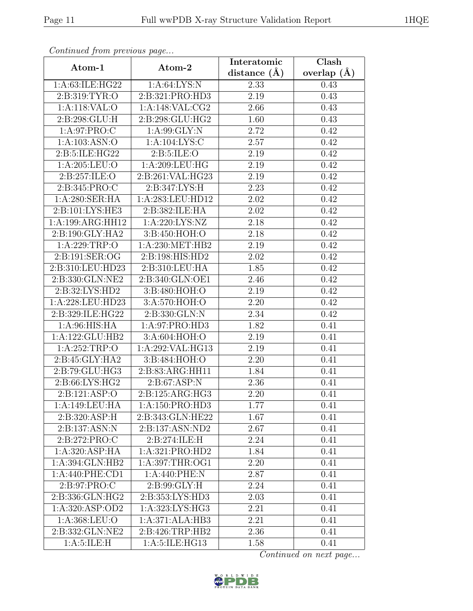| Continued from previous page |                    | Interatomic       | Clash           |  |
|------------------------------|--------------------|-------------------|-----------------|--|
| Atom-1                       | Atom-2             | distance $(\AA)$  | overlap $(\AA)$ |  |
| 1:A:63:ILE:HG22              | 1: A:64: LYS: N    | 2.33              | 0.43            |  |
| 2: B: 319: TYR: O            | 2:B:321:PRO:HD3    | $\overline{2.19}$ | 0.43            |  |
| 1:A:118:VAL:O                | 1: A:148: VAL: CG2 | 2.66              | 0.43            |  |
| 2:B:298:GLU:H                | 2:B:298:GLU:HG2    | 1.60              | 0.43            |  |
| 1: A:97: PRO:C               | 1:A:99:GLY:N       | 2.72              | 0.42            |  |
| 1: A: 103: ASN: O            | 1: A: 104: LYS: C  | 2.57              | 0.42            |  |
| 2:B:5:ILE:HG22               | 2: B:5: ILE: O     | 2.19              | 0.42            |  |
| 1: A:205:LEU:O               | 1: A:209:LEU:HG    | 2.19              | 0.42            |  |
| 2:B:257:ILE:O                | 2:B:261:VAL:HG23   | 2.19              | 0.42            |  |
| 2:B:345:PRO:C                | 2:B:347:LYS:H      | 2.23              | 0.42            |  |
| 1:A:280:SER:HA               | 1:A:283:LEU:HD12   | 2.02              | 0.42            |  |
| 2: B: 101: LYS: HE3          | 2:B:382:ILE:HA     | 2.02              | 0.42            |  |
| 1:A:199:ARG:HH12             | 1:A:220:LYS:NZ     | 2.18              | 0.42            |  |
| 2:B:190:GLY:HA2              | 3:B:450:HOH:O      | 2.18              | 0.42            |  |
| 1:A:229:TRP:O                | 1:A:230:MET:HB2    | 2.19              | 0.42            |  |
| 2:B:191:SER:OG               | 2:B:198:HIS:HD2    | 2.02              | 0.42            |  |
| 2:B:310:LEU:HD23             | 2:B:310:LEU:HA     | 1.85              | 0.42            |  |
| 2:B:330:GLN:NE2              | 2:B:340:GLN:OE1    | 2.46              | 0.42            |  |
| 2:B:32:LYS:HD2               | 3:B:480:HOH:O      | 2.19              | 0.42            |  |
| 1:A:228:LEU:HD23             | 3:A:570:HOH:O      | 2.20              | 0.42            |  |
| 2:B:329:ILE:HG22             | 2:B:330:GLN:N      | 2.34              | 0.42            |  |
| 1: A:96: HIS: HA             | 1: A:97: PRO:HD3   | 1.82              | 0.41            |  |
| 1:A:122:GLU:HB2              | 3:A:604:HOH:O      | 2.19              | 0.41            |  |
| 1:A:252:TRP:O                | 1:A:292:VAL:HG13   | 2.19              | 0.41            |  |
| 2:B:45:GLY:HA2               | 3:B:484:HOH:O      | 2.20              | 0.41            |  |
| 2:B:79:GLU:HG3               | 2:B:83:ARG:HH11    | 1.84              | 0.41            |  |
| 2:B:66:LYS:HG2               | 2: B:67: ASP:N     | 2.36              | 0.41            |  |
| 2: B: 121: ASP: O            | 2:B:125:ARG:HG3    | 2.20              | 0.41            |  |
| 1:A:149:LEU:HA               | 1:A:150:PRO:HD3    | 1.77              | 0.41            |  |
| 2:B:320:ASP:H                | 2:B:343:GLN:HE22   | 1.67              | 0.41            |  |
| 2:B:137:ASN:N                | 2:B:137:ASN:ND2    | 2.67              | 0.41            |  |
| 2:B:272:PRO:C                | 2:B:274:ILE:H      | 2.24              | 0.41            |  |
| $1:A:320:ASP:H\overline{AA}$ | 1:A:321:PRO:HD2    | 1.84              | 0.41            |  |
| 1:A:394:GLN:HB2              | 1:A:397:THR:OG1    | 2.20              | 0.41            |  |
| 1: A:440: PHE:CD1            | 1: A:440: PHE:N    | 2.87              | 0.41            |  |
| $2:\overline{B:97:PRO:C}$    | 2: B:99: GLY: H    | 2.24              | 0.41            |  |
| 2:B:336:GLN:HG2              | 2:B:353:LYS:HD3    | 2.03              | 0.41            |  |
| 1:A:320:ASP:OD2              | 1:A:323:LYS:HG3    | 2.21              | 0.41            |  |
| 1:A:368:LEU:O                | 1:A:371:ALA:HB3    | 2.21              | 0.41            |  |
| 2:B:332:GLN:NE2              | 2:B:426:TRP:HB2    | 2.36              | 0.41            |  |
| 1: A:5: ILE:H                | 1:A:5:ILE:HG13     | 1.58              | 0.41            |  |

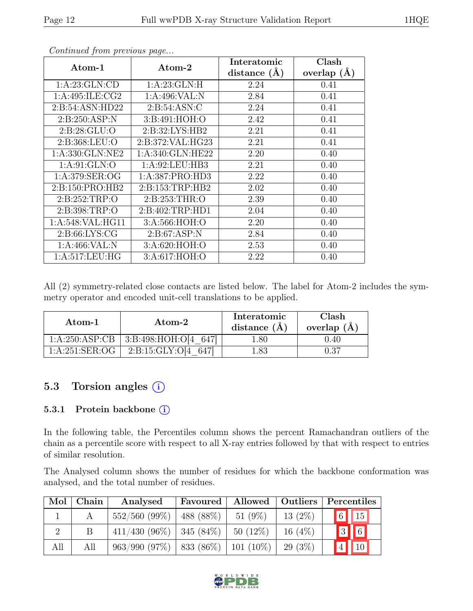| Atom-1              | Atom-2           | Interatomic    | Clash           |
|---------------------|------------------|----------------|-----------------|
|                     |                  | distance $(A)$ | overlap $(\AA)$ |
| 1: A:23: GLN:CD     | 1: A:23: GLN: H  | 2.24           | 0.41            |
| 1: A:495: ILE: CG2  | 1:A:496:VAL:N    | 2.84           | 0.41            |
| 2: B:54: ASN:HD22   | 2: B:54: ASN: C  | 2.24           | 0.41            |
| 2:B:250:ASP:N       | 3:B:491:HOH:O    | 2.42           | 0.41            |
| 2: B:28: GLU:O      | 2:B:32:LYS:HB2   | 2.21           | 0.41            |
| 2: B: 368: LEU: O   | 2:B:372:VAL:HG23 | 2.21           | 0.41            |
| 1:A:330:GLN:NE2     | 1:A:340:GLN:HE22 | 2.20           | 0.40            |
| 1: A:91: GLN:O      | 1: A:92: LEU:HB3 | 2.21           | 0.40            |
| 1: A:379: SER:OG    | 1:A:387:PRO:HD3  | 2.22           | 0.40            |
| 2: B: 150: PRO: HB2 | 2:B:153:TRP:HB2  | 2.02           | 0.40            |
| 2: B: 252: TRP:O    | 2:B:253:THR:O    | 2.39           | 0.40            |
| 2:B:398:TRP:O       | 2:B:402:TRP:HD1  | 2.04           | 0.40            |
| 1:A:548:VAL:HG11    | 3:A:566:HOH:O    | 2.20           | 0.40            |
| 2: B:66: LYS: CG    | 2: B:67: ASP:N   | 2.84           | 0.40            |
| 1: A:466: VAL:N     | 3:A:620:HOH:O    | 2.53           | 0.40            |
| 1: A:517:LEU:HG     | 3:A:617:HOH:O    | 2.22           | 0.40            |

All (2) symmetry-related close contacts are listed below. The label for Atom-2 includes the symmetry operator and encoded unit-cell translations to be applied.

| Atom-1           | Atom-2                  | Interatomic<br>distance $(A)$ | Clash<br>overlap $(A)$ |
|------------------|-------------------------|-------------------------------|------------------------|
| 1:A:250:ASP:CB   | 3: B:498: HOH: O[4 647] | .80                           | 0.40                   |
| 1: A:251: SER:OG | 2: B: 15: GLY: O[4]     | .83                           |                        |

# 5.3 Torsion angles (i)

#### 5.3.1 Protein backbone (i)

In the following table, the Percentiles column shows the percent Ramachandran outliers of the chain as a percentile score with respect to all X-ray entries followed by that with respect to entries of similar resolution.

The Analysed column shows the number of residues for which the backbone conformation was analysed, and the total number of residues.

| Mol | Chain | Analysed                            | Favoured  | Allowed   Outliers |           |                | Percentiles              |
|-----|-------|-------------------------------------|-----------|--------------------|-----------|----------------|--------------------------|
|     |       | $552/560(99\%)$                     | 488 (88%) | 51 $(9\%)$         | $13(2\%)$ |                | $\boxed{6}$ $\boxed{15}$ |
|     | Β     | $411/430$ (96\%)   345 (84\%)       |           | $50(12\%)$         | 16 $(4%)$ |                | $\boxed{3}$ $\boxed{6}$  |
| All | All   | $963/990 (97%)$ 833 (86%) 101 (10%) |           |                    | 29 (3\%)  | 4 <sup>1</sup> | $\sqrt{10}$              |

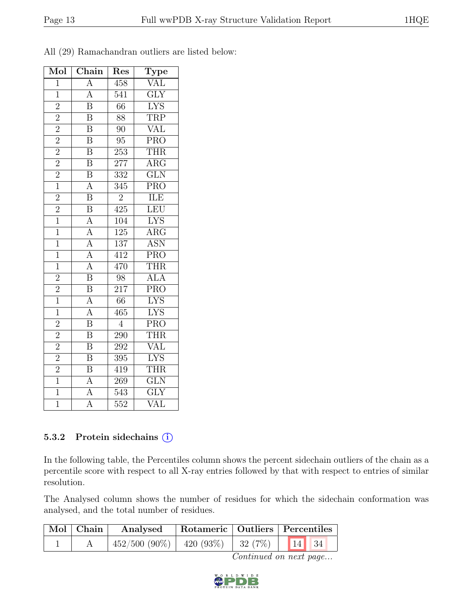| Mol            | Chain                               | $\operatorname{Res}% \left( \mathcal{N}\right) \equiv\operatorname{Res}(\mathcal{N}_{0})\cap\mathcal{N}_{1}$ | Type                    |
|----------------|-------------------------------------|--------------------------------------------------------------------------------------------------------------|-------------------------|
| $\overline{1}$ | $\overline{A}$                      | 458                                                                                                          | <b>VAL</b>              |
| $\overline{1}$ | $\overline{A}$                      | 541                                                                                                          | $\overline{\text{GLY}}$ |
| $\overline{2}$ | $\overline{\mathrm{B}}$             | $\overline{66}$                                                                                              | $\overline{\text{LYS}}$ |
| $\overline{2}$ | $\overline{\mathrm{B}}$             | 88                                                                                                           | <b>TRP</b>              |
| $\overline{2}$ | $\overline{\mathrm{B}}$             | 90                                                                                                           | <b>VAL</b>              |
| $\overline{2}$ | $\overline{\mathbf{B}}$             | $\overline{95}$                                                                                              | $\overline{\text{PRO}}$ |
| $\overline{2}$ | $\overline{\mathrm{B}}$             | 253                                                                                                          | THR                     |
| $\overline{2}$ | $\overline{\mathrm{B}}$             | 277                                                                                                          | $\overline{\text{ARG}}$ |
| $\overline{2}$ | $\overline{\mathrm{B}}$             | $\overline{332}$                                                                                             | $\overline{\text{GLN}}$ |
| $\overline{1}$ | $\overline{A}$                      | $\overline{345}$                                                                                             | $\overline{\text{PRO}}$ |
| $\overline{2}$ | $\overline{\mathrm{B}}$             | $\overline{2}$                                                                                               | <b>ILE</b>              |
| $\overline{2}$ | $\overline{\mathbf{B}}$             | 425                                                                                                          | LEU                     |
| $\overline{1}$ | $\overline{A}$                      | 104                                                                                                          | $\overline{\text{LYS}}$ |
| $\overline{1}$ | $\overline{A}$                      | 125                                                                                                          | $\overline{\text{ARG}}$ |
| $\overline{1}$ | $\frac{\overline{A}}{\overline{A}}$ | 137                                                                                                          | <b>ASN</b>              |
| $\mathbf 1$    |                                     | 412                                                                                                          | PRO                     |
| $\overline{1}$ | $\overline{A}$                      | 470                                                                                                          | <b>THR</b>              |
| $\overline{2}$ | $\overline{\mathbf{B}}$             | 98                                                                                                           | $\overline{ALA}$        |
| $\overline{2}$ | $\overline{\mathrm{B}}$             | 217                                                                                                          | $\overline{\text{PRO}}$ |
| $\overline{1}$ | $\overline{A}$                      | $\overline{66}$                                                                                              | $\overline{\text{LYS}}$ |
| $\mathbf 1$    | $\overline{\rm A}$                  | 465                                                                                                          | <b>LYS</b>              |
| $\overline{2}$ | $\overline{\mathbf{B}}$             | $\overline{4}$                                                                                               | PRO                     |
| $\overline{2}$ | $\overline{\mathbf{B}}$             | 290                                                                                                          | <b>THR</b>              |
| $\overline{2}$ | $\overline{\mathrm{B}}$             | 292                                                                                                          | <b>VAL</b>              |
| $\overline{2}$ | $\overline{\mathbf{B}}$             | $\overline{395}$                                                                                             | $\overline{\text{LYS}}$ |
| $\overline{2}$ | $\overline{\mathrm{B}}$             | 419                                                                                                          | <b>THR</b>              |
| $\overline{1}$ | $\overline{A}$                      | 269                                                                                                          | $\overline{\text{GLN}}$ |
| $\overline{1}$ | $\overline{A}$                      | 543                                                                                                          | $\overline{\text{GLY}}$ |
| $\overline{1}$ | A                                   | 552                                                                                                          | $\overline{\text{VAL}}$ |

All (29) Ramachandran outliers are listed below:

#### 5.3.2 Protein sidechains (i)

In the following table, the Percentiles column shows the percent sidechain outliers of the chain as a percentile score with respect to all X-ray entries followed by that with respect to entries of similar resolution.

The Analysed column shows the number of residues for which the sidechain conformation was analysed, and the total number of residues.

| $\mid$ Mol $\mid$ Chain $\mid$ | Analysed                                     | Rotameric   Outliers   Percentiles |                    |
|--------------------------------|----------------------------------------------|------------------------------------|--------------------|
|                                | $452/500 (90\%)$   $420 (93\%)$   $32 (7\%)$ |                                    | $14 \overline{34}$ |

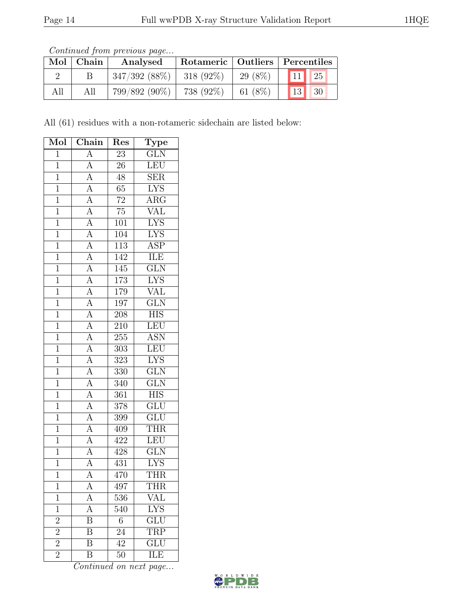| Mol | $\mid$ Chain | Analysed         | Rotameric   Outliers   Percentiles |          |                       |    |
|-----|--------------|------------------|------------------------------------|----------|-----------------------|----|
|     |              | $347/392$ (88\%) | 318 $(92\%)$                       | 29 (8\%) | $\vert$ 11 $\vert$ 25 |    |
| All |              | $799/892(90\%)$  | 738 (92%)                          | 61 (8%)  | 13                    | 30 |

All (61) residues with a non-rotameric sidechain are listed below:

| Mol            | Chain                                                                                                                                                                                                         | Res              | <b>Type</b>             |
|----------------|---------------------------------------------------------------------------------------------------------------------------------------------------------------------------------------------------------------|------------------|-------------------------|
| $\overline{1}$ | $\overline{A}$                                                                                                                                                                                                | $\overline{23}$  | $\overline{\text{GLN}}$ |
| $\mathbf{1}$   | $\mathbf{A}$                                                                                                                                                                                                  | $\overline{26}$  | LEU                     |
| $\overline{1}$ | $\overline{A}$                                                                                                                                                                                                | $\overline{48}$  | $\overline{\text{SER}}$ |
| $\overline{1}$ | $\overline{A}$                                                                                                                                                                                                | 65               | <b>LYS</b>              |
| $\overline{1}$ | $\overline{A}$                                                                                                                                                                                                | $\overline{72}$  | $\overline{\text{ARG}}$ |
| $\overline{1}$ | $\frac{\overline{A}}{\overline{A}}$                                                                                                                                                                           | $\overline{75}$  | <b>VAL</b>              |
| $\overline{1}$ |                                                                                                                                                                                                               | 101              | <b>LYS</b>              |
| $\overline{1}$ | $\frac{\overline{A}}{\overline{A}}$                                                                                                                                                                           | 104              | <b>LYS</b>              |
| $\mathbf{1}$   |                                                                                                                                                                                                               | 113              | <b>ASP</b>              |
| $\overline{1}$ |                                                                                                                                                                                                               | 142              | <b>ILE</b>              |
| $\overline{1}$ |                                                                                                                                                                                                               | 145              | $\overline{\text{GLN}}$ |
| $\overline{1}$ |                                                                                                                                                                                                               | 173              | <b>LYS</b>              |
| $\overline{1}$ | $\frac{\overline{A}}{\overline{A}} \frac{\overline{A}}{\overline{A}} \frac{\overline{A}}{\overline{A}} \frac{\overline{A}}{\overline{A}} \frac{\overline{A}}{\overline{A}} \frac{\overline{A}}{\overline{A}}$ | 179              | <b>VAL</b>              |
| $\mathbf{1}$   |                                                                                                                                                                                                               | 197              | $\overline{\text{GLN}}$ |
| $\overline{1}$ |                                                                                                                                                                                                               | $\overline{208}$ | $\overline{\text{HIS}}$ |
| $\overline{1}$ |                                                                                                                                                                                                               | 210              | LEU                     |
| $\overline{1}$ |                                                                                                                                                                                                               | $255\,$          | <b>ASN</b>              |
| $\overline{1}$ |                                                                                                                                                                                                               | 303              | LEU                     |
| $\mathbf{1}$   |                                                                                                                                                                                                               | $323\,$          | <b>LYS</b>              |
| $\overline{1}$ |                                                                                                                                                                                                               | $\overline{330}$ | $\overline{\text{GLN}}$ |
| $\mathbf{1}$   |                                                                                                                                                                                                               | 340              | GLN                     |
| $\overline{1}$ | $\overline{A}$                                                                                                                                                                                                | 361              | $\overline{\text{HIS}}$ |
| $\overline{1}$ | $\frac{\overline{A}}{\overline{A}}$                                                                                                                                                                           | 378              | $\overline{GLU}$        |
| $\overline{1}$ |                                                                                                                                                                                                               | $399\,$          | $\overline{\text{GLU}}$ |
| $\overline{1}$ | $\overline{A}$                                                                                                                                                                                                | 409              | <b>THR</b>              |
| $\overline{1}$ | $\overline{A}$                                                                                                                                                                                                | 422              | LEU                     |
| $\overline{1}$ |                                                                                                                                                                                                               | $\overline{428}$ | $\overline{\text{GLN}}$ |
| $\overline{1}$ | $\frac{\overline{A}}{\overline{A}}$                                                                                                                                                                           | 431              | $\overline{\text{LYS}}$ |
| $\mathbf 1$    | $\overline{A}$                                                                                                                                                                                                | 470              | <b>THR</b>              |
| 1              | А                                                                                                                                                                                                             | 497              | THR                     |
| $\mathbf 1$    | A                                                                                                                                                                                                             | 536              | VAL                     |
| $\mathbf{1}$   | $\overline{\rm A}$                                                                                                                                                                                            | 540              | <b>LYS</b>              |
| $\overline{2}$ | $\boldsymbol{B}$                                                                                                                                                                                              | $\sqrt{6}$       | GLU                     |
| $\overline{c}$ | Β                                                                                                                                                                                                             | 24               | <b>TRP</b>              |
| $\overline{2}$ | $\overline{\mathrm{B}}$                                                                                                                                                                                       | 42               | $\overline{\text{GLU}}$ |
| $\overline{2}$ | Β                                                                                                                                                                                                             | 50               | ĪLE                     |

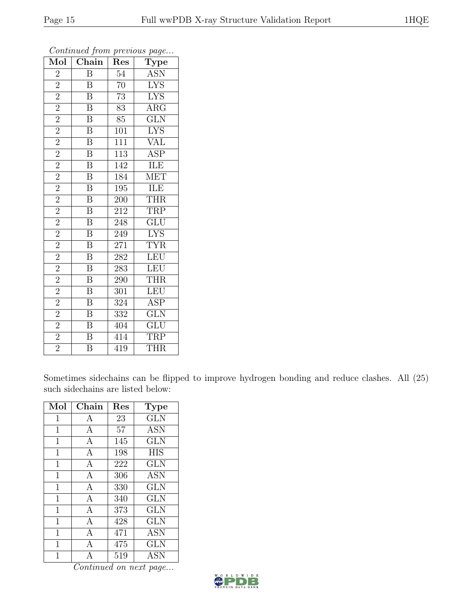| Mol            | $\overline{\text{Chain}}$ | Res              | $\cdot$<br>Type         |
|----------------|---------------------------|------------------|-------------------------|
| $\overline{2}$ | B                         | $\overline{54}$  | <b>ASN</b>              |
| $\overline{2}$ | $\boldsymbol{B}$          | $\overline{70}$  | $\overline{\text{LYS}}$ |
| $\overline{2}$ | $\overline{\mathrm{B}}$   | $\overline{73}$  | $\overline{\text{LYS}}$ |
| $\overline{2}$ | B                         | 83               | $\rm{ARG}$              |
| $\overline{2}$ | $\overline{\mathrm{B}}$   | 85               | $\overline{\text{GLN}}$ |
| $\overline{2}$ | $\overline{B}$            | 101              | <b>LYS</b>              |
| $\overline{2}$ | $\overline{\mathbf{B}}$   | 111              | VAL                     |
| $\overline{2}$ | $\overline{\mathrm{B}}$   | 113              | <b>ASP</b>              |
| $\overline{2}$ | $\overline{\text{B}}$     | 142              | ILE                     |
| $\overline{2}$ | $\overline{\mathrm{B}}$   | 184              | <b>MET</b>              |
| $\overline{2}$ | $\boldsymbol{B}$          | 195              | ILE                     |
| $\overline{2}$ | $\overline{\mathrm{B}}$   | 200              | <b>THR</b>              |
| $\overline{2}$ | $\overline{\mathbf{B}}$   | 212              | <b>TRP</b>              |
| $\overline{2}$ | $\overline{\mathbf{B}}$   | 248              | $\overline{\text{GLU}}$ |
| $\overline{2}$ | $\overline{\mathrm{B}}$   | 249              | <b>LYS</b>              |
| $\overline{2}$ | $\overline{B}$            | 271              | <b>TYR</b>              |
| $\overline{2}$ | $\overline{\mathrm{B}}$   | $28\overline{2}$ | LEU                     |
| $\overline{2}$ | $\boldsymbol{B}$          | 283              | <b>LEU</b>              |
| $\overline{2}$ | B                         | 290              | <b>THR</b>              |
| $\overline{2}$ | $\overline{\mathbf{B}}$   | 301              | <b>LEU</b>              |
| $\overline{2}$ | $\overline{\mathbf{B}}$   | 324              | ASP                     |
| $\overline{2}$ | $\overline{\mathrm{B}}$   | 332              | $\overline{\text{GLN}}$ |
| $\overline{2}$ | $\overline{\mathbf{B}}$   | 404              | $\overline{\text{GLU}}$ |
| $\overline{2}$ | $\bar{\text{B}}$          | 414              | TRP                     |
| $\overline{2}$ | $\overline{B}$            | 419              | <b>THR</b>              |

Sometimes sidechains can be flipped to improve hydrogen bonding and reduce clashes. All (25) such sidechains are listed below:

| Mol            | Chain        | $\operatorname{Res}% \left( \mathcal{N}\right) \equiv\operatorname{Res}(\mathcal{N}_{0},\mathcal{N}_{0})$ | <b>Type</b> |
|----------------|--------------|-----------------------------------------------------------------------------------------------------------|-------------|
| $\mathbf{1}$   | A            | 23                                                                                                        | <b>GLN</b>  |
| 1              | А            | 57                                                                                                        | ASN         |
| 1              | A            | 145                                                                                                       | <b>GLN</b>  |
| 1              | A            | 198                                                                                                       | <b>HIS</b>  |
| 1              | A            | 222                                                                                                       | GLN         |
| $\mathbf 1$    | $\mathbf{A}$ | 306                                                                                                       | <b>ASN</b>  |
| $\overline{1}$ | $\mathbf{A}$ | 330                                                                                                       | <b>GLN</b>  |
| 1              | A            | 340                                                                                                       | <b>GLN</b>  |
| 1              | A            | 373                                                                                                       | GLN         |
| 1              | $\mathbf{A}$ | 428                                                                                                       | <b>GLN</b>  |
| 1              | A            | 471                                                                                                       | <b>ASN</b>  |
| 1              | A            | 475                                                                                                       | <b>GLN</b>  |
| 1              | A            | 519                                                                                                       | ASN         |

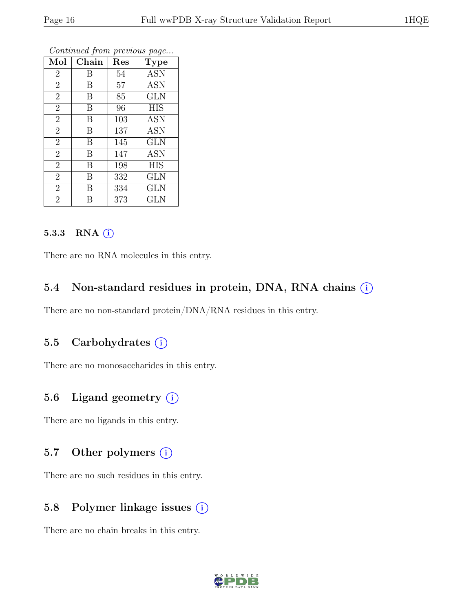| Mol            | Chain | Res | Type                      |
|----------------|-------|-----|---------------------------|
| $\overline{2}$ | Β     | 54  | <b>ASN</b>                |
| $\overline{2}$ | B     | 57  | <b>ASN</b>                |
| $\overline{2}$ | B     | 85  | <b>GLN</b>                |
| $\overline{2}$ | B     | 96  | <b>HIS</b>                |
| $\overline{2}$ | B     | 103 | $\overline{\mathrm{ASN}}$ |
| $\overline{2}$ | B     | 137 | <b>ASN</b>                |
| $\overline{2}$ | B     | 145 | <b>GLN</b>                |
| $\overline{2}$ | B     | 147 | ASN                       |
| $\overline{2}$ | B     | 198 | <b>HIS</b>                |
| $\overline{2}$ | B     | 332 | GLN                       |
| $\overline{2}$ | B     | 334 | <b>GLN</b>                |
| $\overline{2}$ | В     | 373 | <b>GLN</b>                |

#### 5.3.3 RNA  $(i)$

There are no RNA molecules in this entry.

#### 5.4 Non-standard residues in protein, DNA, RNA chains (i)

There are no non-standard protein/DNA/RNA residues in this entry.

### 5.5 Carbohydrates  $(i)$

There are no monosaccharides in this entry.

# 5.6 Ligand geometry  $(i)$

There are no ligands in this entry.

#### 5.7 Other polymers  $(i)$

There are no such residues in this entry.

### 5.8 Polymer linkage issues (i)

There are no chain breaks in this entry.